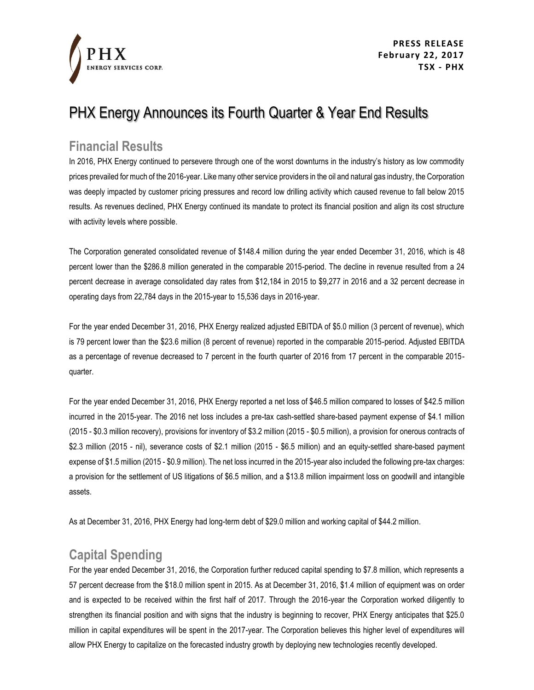

**PRESS RELEASE February 22, 2017 TSX - PHX**

## PHX Energy Announces its Fourth Quarter & Year End Results

#### **Financial Results**

In 2016, PHX Energy continued to persevere through one of the worst downturns in the industry's history as low commodity prices prevailed for much of the 2016-year. Like many other service providers in the oil and natural gas industry, the Corporation was deeply impacted by customer pricing pressures and record low drilling activity which caused revenue to fall below 2015 results. As revenues declined, PHX Energy continued its mandate to protect its financial position and align its cost structure with activity levels where possible.

The Corporation generated consolidated revenue of \$148.4 million during the year ended December 31, 2016, which is 48 percent lower than the \$286.8 million generated in the comparable 2015-period. The decline in revenue resulted from a 24 percent decrease in average consolidated day rates from \$12,184 in 2015 to \$9,277 in 2016 and a 32 percent decrease in operating days from 22,784 days in the 2015-year to 15,536 days in 2016-year.

For the year ended December 31, 2016, PHX Energy realized adjusted EBITDA of \$5.0 million (3 percent of revenue), which is 79 percent lower than the \$23.6 million (8 percent of revenue) reported in the comparable 2015-period. Adjusted EBITDA as a percentage of revenue decreased to 7 percent in the fourth quarter of 2016 from 17 percent in the comparable 2015 quarter.

For the year ended December 31, 2016, PHX Energy reported a net loss of \$46.5 million compared to losses of \$42.5 million incurred in the 2015-year. The 2016 net loss includes a pre-tax cash-settled share-based payment expense of \$4.1 million (2015 - \$0.3 million recovery), provisions for inventory of \$3.2 million (2015 - \$0.5 million), a provision for onerous contracts of \$2.3 million (2015 - nil), severance costs of \$2.1 million (2015 - \$6.5 million) and an equity-settled share-based payment expense of \$1.5 million (2015 - \$0.9 million). The net loss incurred in the 2015-year also included the following pre-tax charges: a provision for the settlement of US litigations of \$6.5 million, and a \$13.8 million impairment loss on goodwill and intangible assets.

As at December 31, 2016, PHX Energy had long-term debt of \$29.0 million and working capital of \$44.2 million.

### **Capital Spending**

For the year ended December 31, 2016, the Corporation further reduced capital spending to \$7.8 million, which represents a 57 percent decrease from the \$18.0 million spent in 2015. As at December 31, 2016, \$1.4 million of equipment was on order and is expected to be received within the first half of 2017. Through the 2016-year the Corporation worked diligently to strengthen its financial position and with signs that the industry is beginning to recover, PHX Energy anticipates that \$25.0 million in capital expenditures will be spent in the 2017-year. The Corporation believes this higher level of expenditures will allow PHX Energy to capitalize on the forecasted industry growth by deploying new technologies recently developed.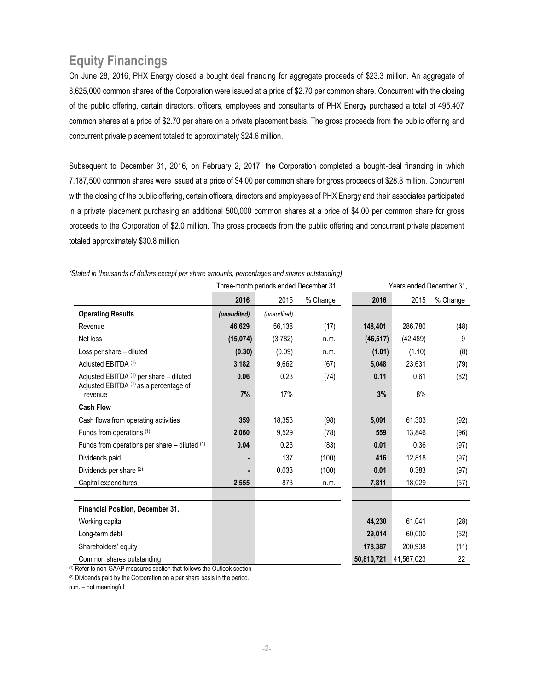## **Equity Financings**

On June 28, 2016, PHX Energy closed a bought deal financing for aggregate proceeds of \$23.3 million. An aggregate of 8,625,000 common shares of the Corporation were issued at a price of \$2.70 per common share. Concurrent with the closing of the public offering, certain directors, officers, employees and consultants of PHX Energy purchased a total of 495,407 common shares at a price of \$2.70 per share on a private placement basis. The gross proceeds from the public offering and concurrent private placement totaled to approximately \$24.6 million.

Subsequent to December 31, 2016, on February 2, 2017, the Corporation completed a bought-deal financing in which 7,187,500 common shares were issued at a price of \$4.00 per common share for gross proceeds of \$28.8 million. Concurrent with the closing of the public offering, certain officers, directors and employees of PHX Energy and their associates participated in a private placement purchasing an additional 500,000 common shares at a price of \$4.00 per common share for gross proceeds to the Corporation of \$2.0 million. The gross proceeds from the public offering and concurrent private placement totaled approximately \$30.8 million

|                                                   |             | Three-month periods ended December 31, |          |            | Years ended December 31, |          |  |
|---------------------------------------------------|-------------|----------------------------------------|----------|------------|--------------------------|----------|--|
|                                                   | 2016        | 2015                                   | % Change | 2016       | 2015                     | % Change |  |
| <b>Operating Results</b>                          | (unaudited) | (unaudited)                            |          |            |                          |          |  |
| Revenue                                           | 46,629      | 56,138                                 | (17)     | 148,401    | 286,780                  | (48)     |  |
| Net loss                                          | (15,074)    | (3,782)                                | n.m.     | (46, 517)  | (42, 489)                | 9        |  |
| Loss per share - diluted                          | (0.30)      | (0.09)                                 | n.m.     | (1.01)     | (1.10)                   | (8)      |  |
| Adjusted EBITDA (1)                               | 3,182       | 9,662                                  | (67)     | 5,048      | 23,631                   | (79)     |  |
| Adjusted EBITDA (1) per share - diluted           | 0.06        | 0.23                                   | (74)     | 0.11       | 0.61                     | (82)     |  |
| Adjusted EBITDA (1) as a percentage of<br>revenue | 7%          | 17%                                    |          | 3%         | 8%                       |          |  |
| <b>Cash Flow</b>                                  |             |                                        |          |            |                          |          |  |
| Cash flows from operating activities              | 359         | 18,353                                 | (98)     | 5,091      | 61,303                   | (92)     |  |
| Funds from operations (1)                         | 2,060       | 9,529                                  | (78)     | 559        | 13,846                   | (96)     |  |
| Funds from operations per share $-$ diluted $(1)$ | 0.04        | 0.23                                   | (83)     | 0.01       | 0.36                     | (97)     |  |
| Dividends paid                                    |             | 137                                    | (100)    | 416        | 12,818                   | (97)     |  |
| Dividends per share (2)                           |             | 0.033                                  | (100)    | 0.01       | 0.383                    | (97)     |  |
| Capital expenditures                              | 2,555       | 873                                    | n.m.     | 7,811      | 18,029                   | (57)     |  |
|                                                   |             |                                        |          |            |                          |          |  |
| Financial Position, December 31,                  |             |                                        |          |            |                          |          |  |
| Working capital                                   |             |                                        |          | 44,230     | 61,041                   | (28)     |  |
| Long-term debt                                    |             |                                        |          | 29,014     | 60.000                   | (52)     |  |
| Shareholders' equity                              |             |                                        |          | 178,387    | 200,938                  | (11)     |  |
| Common shares outstanding                         |             |                                        |          | 50,810,721 | 41,567,023               | 22       |  |

*(Stated in thousands of dollars except per share amounts, percentages and shares outstanding)*

(1) Refer to non-GAAP measures section that follows the Outlook section

(2) Dividends paid by the Corporation on a per share basis in the period.

n.m. – not meaningful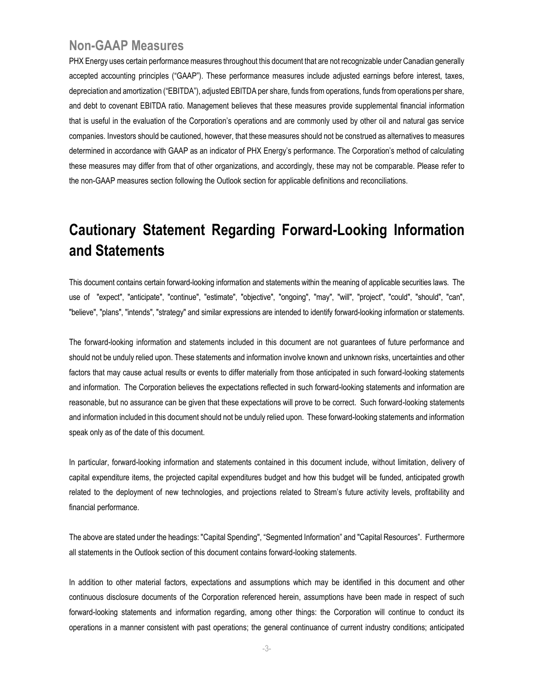#### **Non-GAAP Measures**

PHX Energy uses certain performance measures throughout this document that are not recognizable under Canadian generally accepted accounting principles ("GAAP"). These performance measures include adjusted earnings before interest, taxes, depreciation and amortization ("EBITDA"), adjusted EBITDA per share, funds from operations, funds from operations per share, and debt to covenant EBITDA ratio. Management believes that these measures provide supplemental financial information that is useful in the evaluation of the Corporation's operations and are commonly used by other oil and natural gas service companies. Investors should be cautioned, however, that these measures should not be construed as alternatives to measures determined in accordance with GAAP as an indicator of PHX Energy's performance. The Corporation's method of calculating these measures may differ from that of other organizations, and accordingly, these may not be comparable. Please refer to the non-GAAP measures section following the Outlook section for applicable definitions and reconciliations.

## **Cautionary Statement Regarding Forward-Looking Information and Statements**

This document contains certain forward-looking information and statements within the meaning of applicable securities laws. The use of "expect", "anticipate", "continue", "estimate", "objective", "ongoing", "may", "will", "project", "could", "should", "can", "believe", "plans", "intends", "strategy" and similar expressions are intended to identify forward-looking information or statements.

The forward-looking information and statements included in this document are not guarantees of future performance and should not be unduly relied upon. These statements and information involve known and unknown risks, uncertainties and other factors that may cause actual results or events to differ materially from those anticipated in such forward-looking statements and information. The Corporation believes the expectations reflected in such forward-looking statements and information are reasonable, but no assurance can be given that these expectations will prove to be correct. Such forward-looking statements and information included in this document should not be unduly relied upon. These forward-looking statements and information speak only as of the date of this document.

In particular, forward-looking information and statements contained in this document include, without limitation, delivery of capital expenditure items, the projected capital expenditures budget and how this budget will be funded, anticipated growth related to the deployment of new technologies, and projections related to Stream's future activity levels, profitability and financial performance.

The above are stated under the headings: "Capital Spending", "Segmented Information" and "Capital Resources". Furthermore all statements in the Outlook section of this document contains forward-looking statements.

In addition to other material factors, expectations and assumptions which may be identified in this document and other continuous disclosure documents of the Corporation referenced herein, assumptions have been made in respect of such forward-looking statements and information regarding, among other things: the Corporation will continue to conduct its operations in a manner consistent with past operations; the general continuance of current industry conditions; anticipated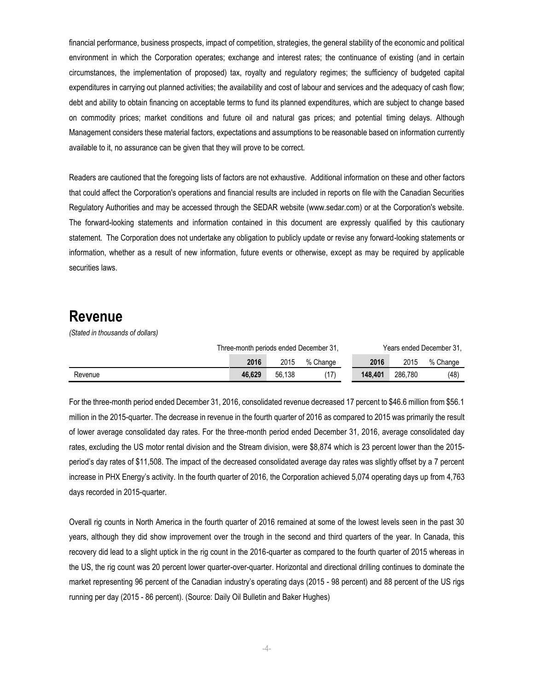financial performance, business prospects, impact of competition, strategies, the general stability of the economic and political environment in which the Corporation operates; exchange and interest rates; the continuance of existing (and in certain circumstances, the implementation of proposed) tax, royalty and regulatory regimes; the sufficiency of budgeted capital expenditures in carrying out planned activities; the availability and cost of labour and services and the adequacy of cash flow; debt and ability to obtain financing on acceptable terms to fund its planned expenditures, which are subject to change based on commodity prices; market conditions and future oil and natural gas prices; and potential timing delays. Although Management considers these material factors, expectations and assumptions to be reasonable based on information currently available to it, no assurance can be given that they will prove to be correct.

Readers are cautioned that the foregoing lists of factors are not exhaustive. Additional information on these and other factors that could affect the Corporation's operations and financial results are included in reports on file with the Canadian Securities Regulatory Authorities and may be accessed through the SEDAR website (www.sedar.com) or at the Corporation's website. The forward-looking statements and information contained in this document are expressly qualified by this cautionary statement. The Corporation does not undertake any obligation to publicly update or revise any forward-looking statements or information, whether as a result of new information, future events or otherwise, except as may be required by applicable securities laws.

#### **Revenue**

*(Stated in thousands of dollars)*

|         | Three-month periods ended December 31, |        |          | Years ended December 31, |         |          |
|---------|----------------------------------------|--------|----------|--------------------------|---------|----------|
|         | 2016                                   | 2015   | % Change | 2016                     | 2015    | % Change |
| Revenue | 46.629                                 | 56.138 |          | 148.401                  | 286.780 | (48)     |

For the three-month period ended December 31, 2016, consolidated revenue decreased 17 percent to \$46.6 million from \$56.1 million in the 2015-quarter. The decrease in revenue in the fourth quarter of 2016 as compared to 2015 was primarily the result of lower average consolidated day rates. For the three-month period ended December 31, 2016, average consolidated day rates, excluding the US motor rental division and the Stream division, were \$8,874 which is 23 percent lower than the 2015 period's day rates of \$11,508. The impact of the decreased consolidated average day rates was slightly offset by a 7 percent increase in PHX Energy's activity. In the fourth quarter of 2016, the Corporation achieved 5,074 operating days up from 4,763 days recorded in 2015-quarter.

Overall rig counts in North America in the fourth quarter of 2016 remained at some of the lowest levels seen in the past 30 years, although they did show improvement over the trough in the second and third quarters of the year. In Canada, this recovery did lead to a slight uptick in the rig count in the 2016-quarter as compared to the fourth quarter of 2015 whereas in the US, the rig count was 20 percent lower quarter-over-quarter. Horizontal and directional drilling continues to dominate the market representing 96 percent of the Canadian industry's operating days (2015 - 98 percent) and 88 percent of the US rigs running per day (2015 - 86 percent). (Source: Daily Oil Bulletin and Baker Hughes)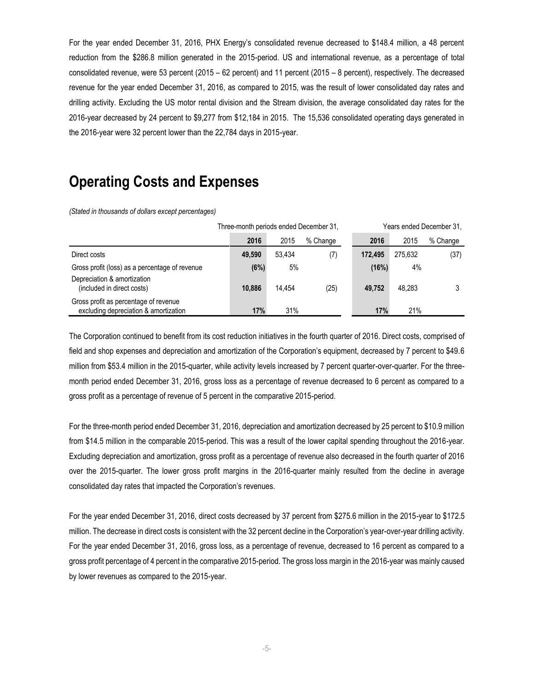For the year ended December 31, 2016, PHX Energy's consolidated revenue decreased to \$148.4 million, a 48 percent reduction from the \$286.8 million generated in the 2015-period. US and international revenue, as a percentage of total consolidated revenue, were 53 percent (2015 – 62 percent) and 11 percent (2015 – 8 percent), respectively. The decreased revenue for the year ended December 31, 2016, as compared to 2015, was the result of lower consolidated day rates and drilling activity. Excluding the US motor rental division and the Stream division, the average consolidated day rates for the 2016-year decreased by 24 percent to \$9,277 from \$12,184 in 2015. The 15,536 consolidated operating days generated in the 2016-year were 32 percent lower than the 22,784 days in 2015-year.

## **Operating Costs and Expenses**

*(Stated in thousands of dollars except percentages)*

|                                                                                | Three-month periods ended December 31, |        |          | Years ended December 31, |         |          |
|--------------------------------------------------------------------------------|----------------------------------------|--------|----------|--------------------------|---------|----------|
|                                                                                | 2016                                   | 2015   | % Change | 2016                     | 2015    | % Change |
| Direct costs                                                                   | 49.590                                 | 53.434 | (7)      | 172.495                  | 275.632 | (37)     |
| Gross profit (loss) as a percentage of revenue                                 | (6%)                                   | 5%     |          | (16%)                    | 4%      |          |
| Depreciation & amortization<br>(included in direct costs)                      | 10.886                                 | 14.454 | (25)     | 49.752                   | 48.283  |          |
| Gross profit as percentage of revenue<br>excluding depreciation & amortization | 17%                                    | 31%    |          | 17%                      | 21%     |          |

The Corporation continued to benefit from its cost reduction initiatives in the fourth quarter of 2016. Direct costs, comprised of field and shop expenses and depreciation and amortization of the Corporation's equipment, decreased by 7 percent to \$49.6 million from \$53.4 million in the 2015-quarter, while activity levels increased by 7 percent quarter-over-quarter. For the threemonth period ended December 31, 2016, gross loss as a percentage of revenue decreased to 6 percent as compared to a gross profit as a percentage of revenue of 5 percent in the comparative 2015-period.

For the three-month period ended December 31, 2016, depreciation and amortization decreased by 25 percent to \$10.9 million from \$14.5 million in the comparable 2015-period. This was a result of the lower capital spending throughout the 2016-year. Excluding depreciation and amortization, gross profit as a percentage of revenue also decreased in the fourth quarter of 2016 over the 2015-quarter. The lower gross profit margins in the 2016-quarter mainly resulted from the decline in average consolidated day rates that impacted the Corporation's revenues.

For the year ended December 31, 2016, direct costs decreased by 37 percent from \$275.6 million in the 2015-year to \$172.5 million. The decrease in direct costs is consistent with the 32 percent decline in the Corporation's year-over-year drilling activity. For the year ended December 31, 2016, gross loss, as a percentage of revenue, decreased to 16 percent as compared to a gross profit percentage of 4 percent in the comparative 2015-period. The gross loss margin in the 2016-year was mainly caused by lower revenues as compared to the 2015-year.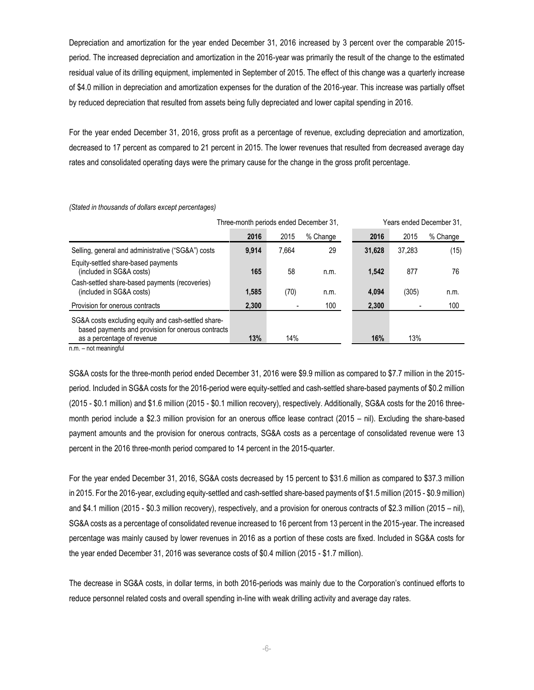Depreciation and amortization for the year ended December 31, 2016 increased by 3 percent over the comparable 2015 period. The increased depreciation and amortization in the 2016-year was primarily the result of the change to the estimated residual value of its drilling equipment, implemented in September of 2015. The effect of this change was a quarterly increase of \$4.0 million in depreciation and amortization expenses for the duration of the 2016-year. This increase was partially offset by reduced depreciation that resulted from assets being fully depreciated and lower capital spending in 2016.

For the year ended December 31, 2016, gross profit as a percentage of revenue, excluding depreciation and amortization, decreased to 17 percent as compared to 21 percent in 2015. The lower revenues that resulted from decreased average day rates and consolidated operating days were the primary cause for the change in the gross profit percentage.

|                                                                                                           | Three-month periods ended December 31, |       |          | Years ended December 31. |        |          |
|-----------------------------------------------------------------------------------------------------------|----------------------------------------|-------|----------|--------------------------|--------|----------|
|                                                                                                           | 2016                                   | 2015  | % Change | 2016                     | 2015   | % Change |
| Selling, general and administrative ("SG&A") costs                                                        | 9.914                                  | 7.664 | 29       | 31,628                   | 37,283 | (15)     |
| Equity-settled share-based payments<br>(included in SG&A costs)                                           | 165                                    | 58    | n.m.     | 1,542                    | 877    | 76       |
| Cash-settled share-based payments (recoveries)<br>(included in SG&A costs)                                | 1,585                                  | (70)  | n.m.     | 4,094                    | (305)  | n.m.     |
| Provision for onerous contracts                                                                           | 2,300                                  |       | 100      | 2,300                    |        | 100      |
| SG&A costs excluding equity and cash-settled share-<br>based payments and provision for onerous contracts |                                        |       |          |                          |        |          |
| as a percentage of revenue                                                                                | 13%                                    | 14%   |          | 16%                      | 13%    |          |

*(Stated in thousands of dollars except percentages)*

n.m. – not meaningful

SG&A costs for the three-month period ended December 31, 2016 were \$9.9 million as compared to \$7.7 million in the 2015 period. Included in SG&A costs for the 2016-period were equity-settled and cash-settled share-based payments of \$0.2 million (2015 - \$0.1 million) and \$1.6 million (2015 - \$0.1 million recovery), respectively. Additionally, SG&A costs for the 2016 threemonth period include a \$2.3 million provision for an onerous office lease contract (2015 – nil). Excluding the share-based payment amounts and the provision for onerous contracts, SG&A costs as a percentage of consolidated revenue were 13 percent in the 2016 three-month period compared to 14 percent in the 2015-quarter.

For the year ended December 31, 2016, SG&A costs decreased by 15 percent to \$31.6 million as compared to \$37.3 million in 2015. For the 2016-year, excluding equity-settled and cash-settled share-based payments of \$1.5 million (2015 - \$0.9 million) and \$4.1 million (2015 - \$0.3 million recovery), respectively, and a provision for onerous contracts of \$2.3 million (2015 – nil), SG&A costs as a percentage of consolidated revenue increased to 16 percent from 13 percent in the 2015-year. The increased percentage was mainly caused by lower revenues in 2016 as a portion of these costs are fixed. Included in SG&A costs for the year ended December 31, 2016 was severance costs of \$0.4 million (2015 - \$1.7 million).

The decrease in SG&A costs, in dollar terms, in both 2016-periods was mainly due to the Corporation's continued efforts to reduce personnel related costs and overall spending in-line with weak drilling activity and average day rates.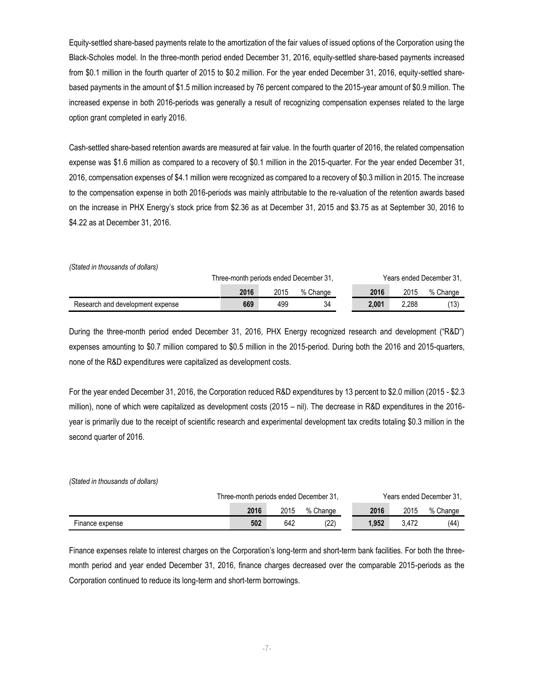Equity-settled share-based payments relate to the amortization of the fair values of issued options of the Corporation using the Black-Scholes model. In the three-month period ended December 31, 2016, equity-settled share-based payments increased from \$0.1 million in the fourth quarter of 2015 to \$0.2 million. For the year ended December 31, 2016, equity-settled sharebased payments in the amount of \$1.5 million increased by 76 percent compared to the 2015-year amount of \$0.9 million. The increased expense in both 2016-periods was generally a result of recognizing compensation expenses related to the large option grant completed in early 2016.

Cash-settled share-based retention awards are measured at fair value. In the fourth quarter of 2016, the related compensation expense was \$1.6 million as compared to a recovery of \$0.1 million in the 2015-quarter. For the year ended December 31, 2016, compensation expenses of \$4.1 million were recognized as compared to a recovery of \$0.3 million in 2015. The increase to the compensation expense in both 2016-periods was mainly attributable to the re-valuation of the retention awards based on the increase in PHX Energy's stock price from \$2.36 as at December 31, 2015 and \$3.75 as at September 30, 2016 to \$4.22 as at December 31, 2016.

*(Stated in thousands of dollars)*

|                                  |      |      | Three-month periods ended December 31. |       | Years ended December 31, |          |  |
|----------------------------------|------|------|----------------------------------------|-------|--------------------------|----------|--|
|                                  | 2016 | 2015 | % Change                               | 2016  | 2015                     | % Change |  |
| Research and development expense | 669  | 499  | 34                                     | 2.001 | 2.288                    | (13)     |  |

During the three-month period ended December 31, 2016, PHX Energy recognized research and development ("R&D") expenses amounting to \$0.7 million compared to \$0.5 million in the 2015-period. During both the 2016 and 2015-quarters, none of the R&D expenditures were capitalized as development costs.

For the year ended December 31, 2016, the Corporation reduced R&D expenditures by 13 percent to \$2.0 million (2015 - \$2.3 million), none of which were capitalized as development costs (2015 – nil). The decrease in R&D expenditures in the 2016 year is primarily due to the receipt of scientific research and experimental development tax credits totaling \$0.3 million in the second quarter of 2016.

*(Stated in thousands of dollars)*

|                 |      |      | Three-month periods ended December 31, |       | Years ended December 31. |          |  |
|-----------------|------|------|----------------------------------------|-------|--------------------------|----------|--|
|                 | 2016 | 2015 | % Change                               | 2016  | 2015                     | % Change |  |
| Finance expense | 502  | 642  | (22)                                   | 1.952 | 3.472                    | (44)     |  |

Finance expenses relate to interest charges on the Corporation's long-term and short-term bank facilities. For both the threemonth period and year ended December 31, 2016, finance charges decreased over the comparable 2015-periods as the Corporation continued to reduce its long-term and short-term borrowings.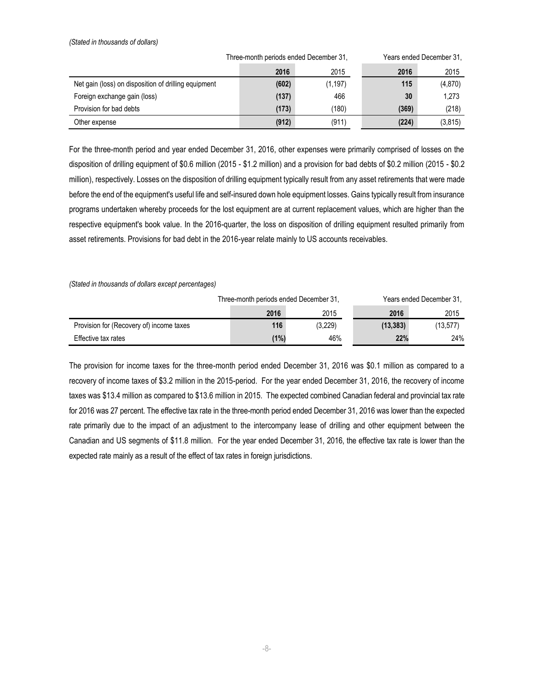*(Stated in thousands of dollars)*

|                                                      | Three-month periods ended December 31, |          | Years ended December 31, |          |  |
|------------------------------------------------------|----------------------------------------|----------|--------------------------|----------|--|
|                                                      | 2016                                   | 2015     | 2016                     | 2015     |  |
| Net gain (loss) on disposition of drilling equipment | (602)                                  | (1, 197) | 115                      | (4, 870) |  |
| Foreign exchange gain (loss)                         | (137)                                  | 466      | 30                       | 1,273    |  |
| Provision for bad debts                              | (173)                                  | (180)    | (369)                    | (218)    |  |
| Other expense                                        | (912)                                  | (911)    | (224)                    | (3, 815) |  |

For the three-month period and year ended December 31, 2016, other expenses were primarily comprised of losses on the disposition of drilling equipment of \$0.6 million (2015 - \$1.2 million) and a provision for bad debts of \$0.2 million (2015 - \$0.2 million), respectively. Losses on the disposition of drilling equipment typically result from any asset retirements that were made before the end of the equipment's useful life and self-insured down hole equipment losses. Gains typically result from insurance programs undertaken whereby proceeds for the lost equipment are at current replacement values, which are higher than the respective equipment's book value. In the 2016-quarter, the loss on disposition of drilling equipment resulted primarily from asset retirements. Provisions for bad debt in the 2016-year relate mainly to US accounts receivables.

#### *(Stated in thousands of dollars except percentages)*

|                                          | Three-month periods ended December 31, |         | Years ended December 31, |          |  |
|------------------------------------------|----------------------------------------|---------|--------------------------|----------|--|
|                                          | 2016                                   | 2015    | 2016                     | 2015     |  |
| Provision for (Recovery of) income taxes | 116                                    | (3,229) | (13, 383)                | (13,577) |  |
| Effective tax rates                      | (1%)                                   | 46%     | 22%                      | 24%      |  |

The provision for income taxes for the three-month period ended December 31, 2016 was \$0.1 million as compared to a recovery of income taxes of \$3.2 million in the 2015-period. For the year ended December 31, 2016, the recovery of income taxes was \$13.4 million as compared to \$13.6 million in 2015. The expected combined Canadian federal and provincial tax rate for 2016 was 27 percent. The effective tax rate in the three-month period ended December 31, 2016 was lower than the expected rate primarily due to the impact of an adjustment to the intercompany lease of drilling and other equipment between the Canadian and US segments of \$11.8 million. For the year ended December 31, 2016, the effective tax rate is lower than the expected rate mainly as a result of the effect of tax rates in foreign jurisdictions.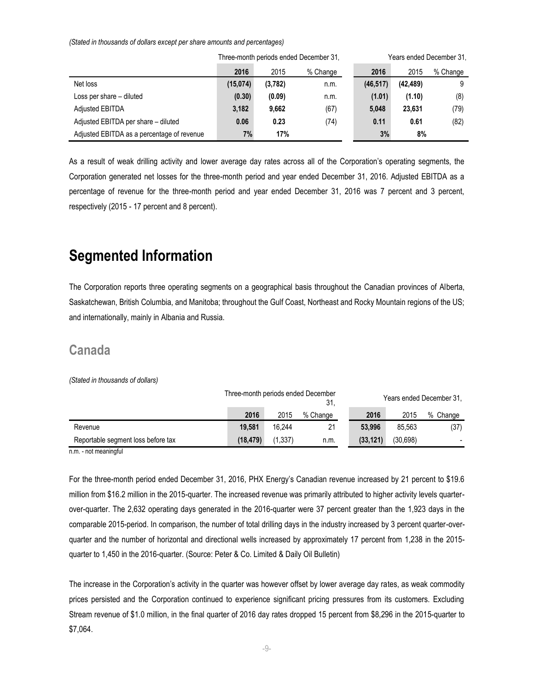*(Stated in thousands of dollars except per share amounts and percentages)*

|                                            |          |         | Three-month periods ended December 31, | Years ended December 31, |           |          |  |
|--------------------------------------------|----------|---------|----------------------------------------|--------------------------|-----------|----------|--|
|                                            | 2016     | 2015    | % Change                               | 2016                     | 2015      | % Change |  |
| Net loss                                   | (15,074) | (3,782) | n.m.                                   | (46, 517)                | (42, 489) |          |  |
| Loss per share – diluted                   | (0.30)   | (0.09)  | n.m.                                   | (1.01)                   | (1.10)    | (8)      |  |
| <b>Adjusted EBITDA</b>                     | 3.182    | 9.662   | (67)                                   | 5,048                    | 23,631    | (79)     |  |
| Adjusted EBITDA per share - diluted        | 0.06     | 0.23    | (74)                                   | 0.11                     | 0.61      | (82)     |  |
| Adjusted EBITDA as a percentage of revenue | 7%       | 17%     |                                        | 3%                       | 8%        |          |  |

As a result of weak drilling activity and lower average day rates across all of the Corporation's operating segments, the Corporation generated net losses for the three-month period and year ended December 31, 2016. Adjusted EBITDA as a percentage of revenue for the three-month period and year ended December 31, 2016 was 7 percent and 3 percent, respectively (2015 - 17 percent and 8 percent).

## **Segmented Information**

The Corporation reports three operating segments on a geographical basis throughout the Canadian provinces of Alberta, Saskatchewan, British Columbia, and Manitoba; throughout the Gulf Coast, Northeast and Rocky Mountain regions of the US; and internationally, mainly in Albania and Russia.

#### **Canada**

#### *(Stated in thousands of dollars)*

|                                    | Three-month periods ended December |         | 31.      |          | Years ended December 31, |          |  |
|------------------------------------|------------------------------------|---------|----------|----------|--------------------------|----------|--|
|                                    | 2016                               | 2015    | % Change | 2016     | 2015                     | % Change |  |
| Revenue                            | 19.581                             | 16.244  | 21       | 53.996   | 85.563                   | (37)     |  |
| Reportable segment loss before tax | (18.479)                           | (1,337) | n.m.     | (33.121) | (30,698)                 |          |  |

n.m. - not meaningful

For the three-month period ended December 31, 2016, PHX Energy's Canadian revenue increased by 21 percent to \$19.6 million from \$16.2 million in the 2015-quarter. The increased revenue was primarily attributed to higher activity levels quarterover-quarter. The 2,632 operating days generated in the 2016-quarter were 37 percent greater than the 1,923 days in the comparable 2015-period. In comparison, the number of total drilling days in the industry increased by 3 percent quarter-overquarter and the number of horizontal and directional wells increased by approximately 17 percent from 1,238 in the 2015 quarter to 1,450 in the 2016-quarter. (Source: Peter & Co. Limited & Daily Oil Bulletin)

The increase in the Corporation's activity in the quarter was however offset by lower average day rates, as weak commodity prices persisted and the Corporation continued to experience significant pricing pressures from its customers. Excluding Stream revenue of \$1.0 million, in the final quarter of 2016 day rates dropped 15 percent from \$8,296 in the 2015-quarter to \$7,064.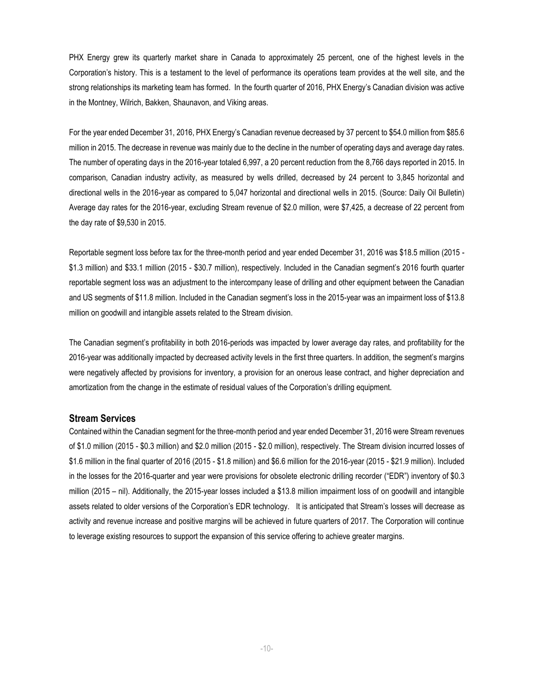PHX Energy grew its quarterly market share in Canada to approximately 25 percent, one of the highest levels in the Corporation's history. This is a testament to the level of performance its operations team provides at the well site, and the strong relationships its marketing team has formed. In the fourth quarter of 2016, PHX Energy's Canadian division was active in the Montney, Wilrich, Bakken, Shaunavon, and Viking areas.

For the year ended December 31, 2016, PHX Energy's Canadian revenue decreased by 37 percent to \$54.0 million from \$85.6 million in 2015. The decrease in revenue was mainly due to the decline in the number of operating days and average day rates. The number of operating days in the 2016-year totaled 6,997, a 20 percent reduction from the 8,766 days reported in 2015. In comparison, Canadian industry activity, as measured by wells drilled, decreased by 24 percent to 3,845 horizontal and directional wells in the 2016-year as compared to 5,047 horizontal and directional wells in 2015. (Source: Daily Oil Bulletin) Average day rates for the 2016-year, excluding Stream revenue of \$2.0 million, were \$7,425, a decrease of 22 percent from the day rate of \$9,530 in 2015.

Reportable segment loss before tax for the three-month period and year ended December 31, 2016 was \$18.5 million (2015 - \$1.3 million) and \$33.1 million (2015 - \$30.7 million), respectively. Included in the Canadian segment's 2016 fourth quarter reportable segment loss was an adjustment to the intercompany lease of drilling and other equipment between the Canadian and US segments of \$11.8 million. Included in the Canadian segment's loss in the 2015-year was an impairment loss of \$13.8 million on goodwill and intangible assets related to the Stream division.

The Canadian segment's profitability in both 2016-periods was impacted by lower average day rates, and profitability for the 2016-year was additionally impacted by decreased activity levels in the first three quarters. In addition, the segment's margins were negatively affected by provisions for inventory, a provision for an onerous lease contract, and higher depreciation and amortization from the change in the estimate of residual values of the Corporation's drilling equipment.

#### **Stream Services**

Contained within the Canadian segment for the three-month period and year ended December 31, 2016 were Stream revenues of \$1.0 million (2015 - \$0.3 million) and \$2.0 million (2015 - \$2.0 million), respectively. The Stream division incurred losses of \$1.6 million in the final quarter of 2016 (2015 - \$1.8 million) and \$6.6 million for the 2016-year (2015 - \$21.9 million). Included in the losses for the 2016-quarter and year were provisions for obsolete electronic drilling recorder ("EDR") inventory of \$0.3 million (2015 – nil). Additionally, the 2015-year losses included a \$13.8 million impairment loss of on goodwill and intangible assets related to older versions of the Corporation's EDR technology. It is anticipated that Stream's losses will decrease as activity and revenue increase and positive margins will be achieved in future quarters of 2017. The Corporation will continue to leverage existing resources to support the expansion of this service offering to achieve greater margins.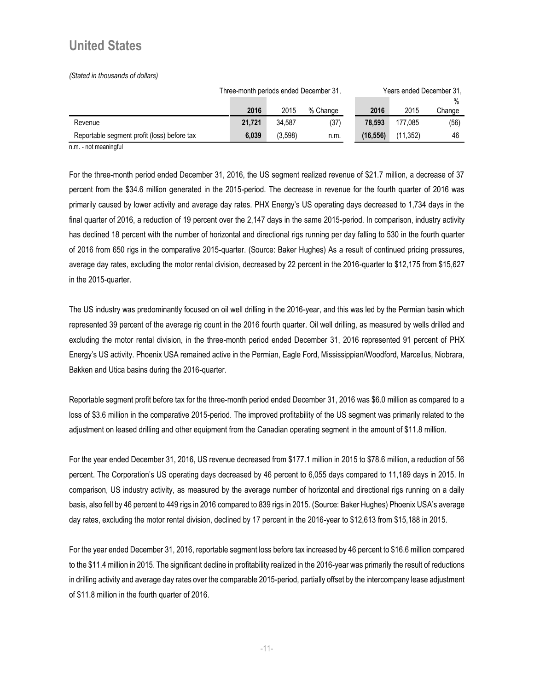### **United States**

*(Stated in thousands of dollars)*

|                                             | Three-month periods ended December 31, |         |          |          | Years ended December 31, |        |  |
|---------------------------------------------|----------------------------------------|---------|----------|----------|--------------------------|--------|--|
|                                             |                                        |         |          |          |                          | $\%$   |  |
|                                             | 2016                                   | 2015    | % Change | 2016     | 2015                     | Change |  |
| Revenue                                     | 21.721                                 | 34.587  | (37)     | 78.593   | 177.085                  | (56)   |  |
| Reportable segment profit (loss) before tax | 6.039                                  | (3.598) | n.m.     | (16.556) | (11.352)                 | 46     |  |

n.m. - not meaningful

For the three-month period ended December 31, 2016, the US segment realized revenue of \$21.7 million, a decrease of 37 percent from the \$34.6 million generated in the 2015-period. The decrease in revenue for the fourth quarter of 2016 was primarily caused by lower activity and average day rates. PHX Energy's US operating days decreased to 1,734 days in the final quarter of 2016, a reduction of 19 percent over the 2,147 days in the same 2015-period. In comparison, industry activity has declined 18 percent with the number of horizontal and directional rigs running per day falling to 530 in the fourth quarter of 2016 from 650 rigs in the comparative 2015-quarter. (Source: Baker Hughes) As a result of continued pricing pressures, average day rates, excluding the motor rental division, decreased by 22 percent in the 2016-quarter to \$12,175 from \$15,627 in the 2015-quarter.

The US industry was predominantly focused on oil well drilling in the 2016-year, and this was led by the Permian basin which represented 39 percent of the average rig count in the 2016 fourth quarter. Oil well drilling, as measured by wells drilled and excluding the motor rental division, in the three-month period ended December 31, 2016 represented 91 percent of PHX Energy's US activity. Phoenix USA remained active in the Permian, Eagle Ford, Mississippian/Woodford, Marcellus, Niobrara, Bakken and Utica basins during the 2016-quarter.

Reportable segment profit before tax for the three-month period ended December 31, 2016 was \$6.0 million as compared to a loss of \$3.6 million in the comparative 2015-period. The improved profitability of the US segment was primarily related to the adjustment on leased drilling and other equipment from the Canadian operating segment in the amount of \$11.8 million.

For the year ended December 31, 2016, US revenue decreased from \$177.1 million in 2015 to \$78.6 million, a reduction of 56 percent. The Corporation's US operating days decreased by 46 percent to 6,055 days compared to 11,189 days in 2015. In comparison, US industry activity, as measured by the average number of horizontal and directional rigs running on a daily basis, also fell by 46 percent to 449 rigs in 2016 compared to 839 rigs in 2015. (Source: Baker Hughes) Phoenix USA's average day rates, excluding the motor rental division, declined by 17 percent in the 2016-year to \$12,613 from \$15,188 in 2015.

For the year ended December 31, 2016, reportable segment loss before tax increased by 46 percent to \$16.6 million compared to the \$11.4 million in 2015. The significant decline in profitability realized in the 2016-year was primarily the result of reductions in drilling activity and average day rates over the comparable 2015-period, partially offset by the intercompany lease adjustment of \$11.8 million in the fourth quarter of 2016.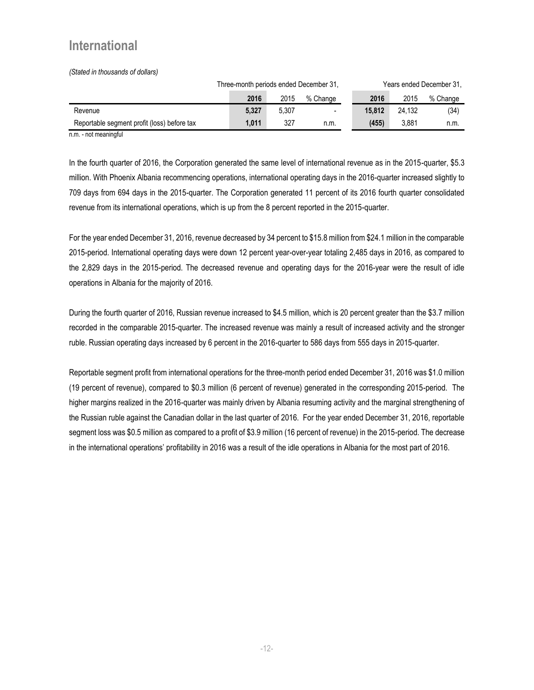### **International**

*(Stated in thousands of dollars)*

|                                             | Three-month periods ended December 31, |       |                          | Years ended December 31, |        |          |
|---------------------------------------------|----------------------------------------|-------|--------------------------|--------------------------|--------|----------|
|                                             | 2016                                   | 2015  | % Change                 | 2016                     | 2015   | % Change |
| Revenue                                     | 5.327                                  | 5,307 | $\overline{\phantom{a}}$ | 15.812                   | 24.132 | (34)     |
| Reportable segment profit (loss) before tax | 1.011                                  | 327   | n.m.                     | (455)                    | 3.881  | n.m.     |

n.m. - not meaningful

In the fourth quarter of 2016, the Corporation generated the same level of international revenue as in the 2015-quarter, \$5.3 million. With Phoenix Albania recommencing operations, international operating days in the 2016-quarter increased slightly to 709 days from 694 days in the 2015-quarter. The Corporation generated 11 percent of its 2016 fourth quarter consolidated revenue from its international operations, which is up from the 8 percent reported in the 2015-quarter.

For the year ended December 31, 2016, revenue decreased by 34 percent to \$15.8 million from \$24.1 million in the comparable 2015-period. International operating days were down 12 percent year-over-year totaling 2,485 days in 2016, as compared to the 2,829 days in the 2015-period. The decreased revenue and operating days for the 2016-year were the result of idle operations in Albania for the majority of 2016.

During the fourth quarter of 2016, Russian revenue increased to \$4.5 million, which is 20 percent greater than the \$3.7 million recorded in the comparable 2015-quarter. The increased revenue was mainly a result of increased activity and the stronger ruble. Russian operating days increased by 6 percent in the 2016-quarter to 586 days from 555 days in 2015-quarter.

Reportable segment profit from international operations for the three-month period ended December 31, 2016 was \$1.0 million (19 percent of revenue), compared to \$0.3 million (6 percent of revenue) generated in the corresponding 2015-period. The higher margins realized in the 2016-quarter was mainly driven by Albania resuming activity and the marginal strengthening of the Russian ruble against the Canadian dollar in the last quarter of 2016. For the year ended December 31, 2016, reportable segment loss was \$0.5 million as compared to a profit of \$3.9 million (16 percent of revenue) in the 2015-period. The decrease in the international operations' profitability in 2016 was a result of the idle operations in Albania for the most part of 2016.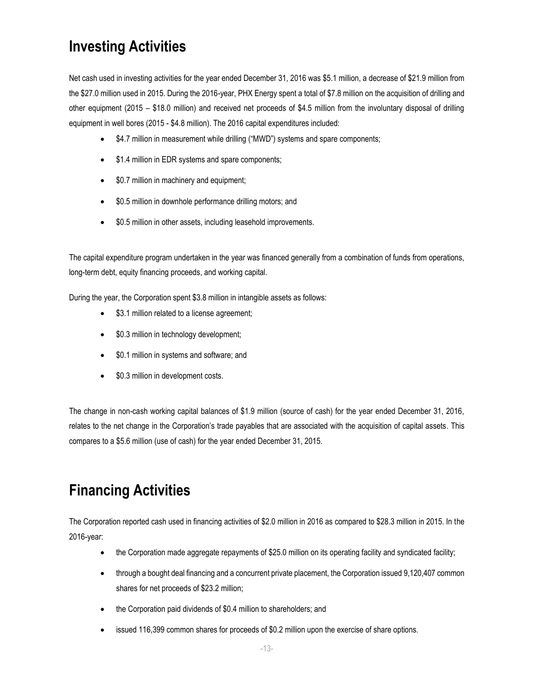## **Investing Activities**

Net cash used in investing activities for the year ended December 31, 2016 was \$5.1 million, a decrease of \$21.9 million from the \$27.0 million used in 2015. During the 2016-year, PHX Energy spent a total of \$7.8 million on the acquisition of drilling and other equipment (2015 – \$18.0 million) and received net proceeds of \$4.5 million from the involuntary disposal of drilling equipment in well bores (2015 - \$4.8 million). The 2016 capital expenditures included:

- \$4.7 million in measurement while drilling ("MWD") systems and spare components;
- \$1.4 million in EDR systems and spare components;
- \$0.7 million in machinery and equipment;
- \$0.5 million in downhole performance drilling motors; and
- \$0.5 million in other assets, including leasehold improvements.

The capital expenditure program undertaken in the year was financed generally from a combination of funds from operations, long-term debt, equity financing proceeds, and working capital.

During the year, the Corporation spent \$3.8 million in intangible assets as follows:

- \$3.1 million related to a license agreement;
- \$0.3 million in technology development;
- \$0.1 million in systems and software; and
- \$0.3 million in development costs.

The change in non-cash working capital balances of \$1.9 million (source of cash) for the year ended December 31, 2016, relates to the net change in the Corporation's trade payables that are associated with the acquisition of capital assets. This compares to a \$5.6 million (use of cash) for the year ended December 31, 2015.

## **Financing Activities**

The Corporation reported cash used in financing activities of \$2.0 million in 2016 as compared to \$28.3 million in 2015. In the 2016-year:

- the Corporation made aggregate repayments of \$25.0 million on its operating facility and syndicated facility;
- through a bought deal financing and a concurrent private placement, the Corporation issued 9,120,407 common shares for net proceeds of \$23.2 million;
- the Corporation paid dividends of \$0.4 million to shareholders; and
- issued 116,399 common shares for proceeds of \$0.2 million upon the exercise of share options.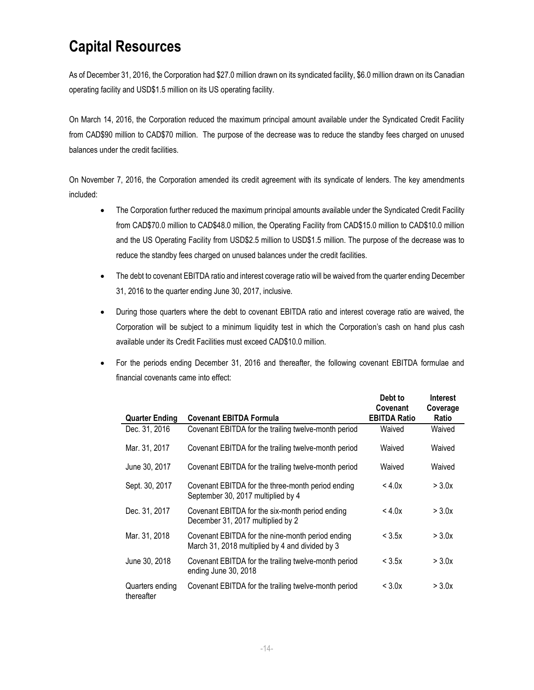## **Capital Resources**

As of December 31, 2016, the Corporation had \$27.0 million drawn on its syndicated facility, \$6.0 million drawn on its Canadian operating facility and USD\$1.5 million on its US operating facility.

On March 14, 2016, the Corporation reduced the maximum principal amount available under the Syndicated Credit Facility from CAD\$90 million to CAD\$70 million. The purpose of the decrease was to reduce the standby fees charged on unused balances under the credit facilities.

On November 7, 2016, the Corporation amended its credit agreement with its syndicate of lenders. The key amendments included:

- The Corporation further reduced the maximum principal amounts available under the Syndicated Credit Facility from CAD\$70.0 million to CAD\$48.0 million, the Operating Facility from CAD\$15.0 million to CAD\$10.0 million and the US Operating Facility from USD\$2.5 million to USD\$1.5 million. The purpose of the decrease was to reduce the standby fees charged on unused balances under the credit facilities.
- The debt to covenant EBITDA ratio and interest coverage ratio will be waived from the quarter ending December 31, 2016 to the quarter ending June 30, 2017, inclusive.
- During those quarters where the debt to covenant EBITDA ratio and interest coverage ratio are waived, the Corporation will be subject to a minimum liquidity test in which the Corporation's cash on hand plus cash available under its Credit Facilities must exceed CAD\$10.0 million.
- For the periods ending December 31, 2016 and thereafter, the following covenant EBITDA formulae and financial covenants came into effect:

|                               |                                                                                                     | Debt to<br>Covenant | <b>Interest</b><br>Coverage |
|-------------------------------|-----------------------------------------------------------------------------------------------------|---------------------|-----------------------------|
| <b>Quarter Ending</b>         | <b>Covenant EBITDA Formula</b>                                                                      | <b>EBITDA Ratio</b> | Ratio                       |
| Dec. 31, 2016                 | Covenant EBITDA for the trailing twelve-month period                                                | Waived              | Waived                      |
| Mar. 31, 2017                 | Covenant EBITDA for the trailing twelve-month period                                                | Waived              | Waived                      |
| June 30, 2017                 | Covenant EBITDA for the trailing twelve-month period                                                | Waived              | Waived                      |
| Sept. 30, 2017                | Covenant EBITDA for the three-month period ending<br>September 30, 2017 multiplied by 4             | $<$ 4.0 $x$         | $>$ 3.0 $x$                 |
| Dec. 31, 2017                 | Covenant EBITDA for the six-month period ending<br>December 31, 2017 multiplied by 2                | $<$ 4.0 $x$         | $>$ 3.0 $x$                 |
| Mar. 31, 2018                 | Covenant EBITDA for the nine-month period ending<br>March 31, 2018 multiplied by 4 and divided by 3 | < 3.5x              | $>$ 3.0 $x$                 |
| June 30, 2018                 | Covenant EBITDA for the trailing twelve-month period<br>ending June 30, 2018                        | < 3.5x              | $>$ 3.0 $x$                 |
| Quarters ending<br>thereafter | Covenant EBITDA for the trailing twelve-month period                                                | $<$ 3.0 $\times$    | $>$ 3.0 $x$                 |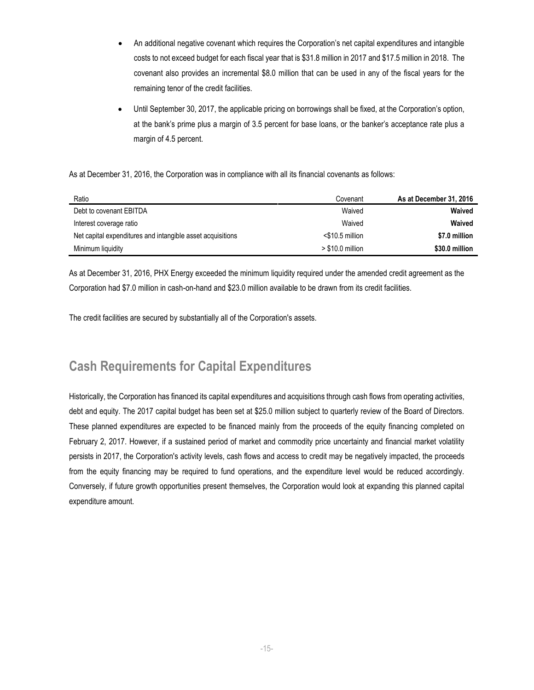- An additional negative covenant which requires the Corporation's net capital expenditures and intangible costs to not exceed budget for each fiscal year that is \$31.8 million in 2017 and \$17.5 million in 2018. The covenant also provides an incremental \$8.0 million that can be used in any of the fiscal years for the remaining tenor of the credit facilities.
- Until September 30, 2017, the applicable pricing on borrowings shall be fixed, at the Corporation's option, at the bank's prime plus a margin of 3.5 percent for base loans, or the banker's acceptance rate plus a margin of 4.5 percent.

As at December 31, 2016, the Corporation was in compliance with all its financial covenants as follows:

| Ratio                                                      | Covenant           | As at December 31, 2016 |
|------------------------------------------------------------|--------------------|-------------------------|
| Debt to covenant EBITDA                                    | Waived             | Waived                  |
| Interest coverage ratio                                    | Waived             | Waived                  |
| Net capital expenditures and intangible asset acquisitions | $<$ \$10.5 million | \$7.0 million           |
| Minimum liquidity                                          | $> $10.0$ million  | \$30.0 million          |

As at December 31, 2016, PHX Energy exceeded the minimum liquidity required under the amended credit agreement as the Corporation had \$7.0 million in cash-on-hand and \$23.0 million available to be drawn from its credit facilities.

The credit facilities are secured by substantially all of the Corporation's assets.

### **Cash Requirements for Capital Expenditures**

Historically, the Corporation has financed its capital expenditures and acquisitions through cash flows from operating activities, debt and equity. The 2017 capital budget has been set at \$25.0 million subject to quarterly review of the Board of Directors. These planned expenditures are expected to be financed mainly from the proceeds of the equity financing completed on February 2, 2017. However, if a sustained period of market and commodity price uncertainty and financial market volatility persists in 2017, the Corporation's activity levels, cash flows and access to credit may be negatively impacted, the proceeds from the equity financing may be required to fund operations, and the expenditure level would be reduced accordingly. Conversely, if future growth opportunities present themselves, the Corporation would look at expanding this planned capital expenditure amount.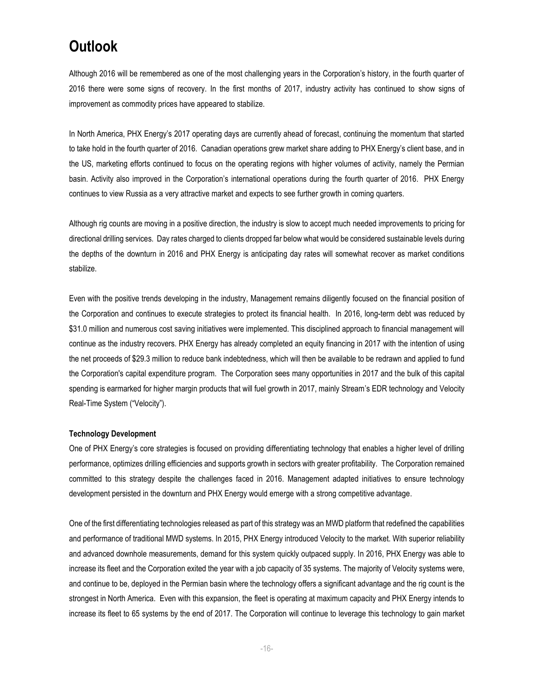## **Outlook**

Although 2016 will be remembered as one of the most challenging years in the Corporation's history, in the fourth quarter of 2016 there were some signs of recovery. In the first months of 2017, industry activity has continued to show signs of improvement as commodity prices have appeared to stabilize.

In North America, PHX Energy's 2017 operating days are currently ahead of forecast, continuing the momentum that started to take hold in the fourth quarter of 2016. Canadian operations grew market share adding to PHX Energy's client base, and in the US, marketing efforts continued to focus on the operating regions with higher volumes of activity, namely the Permian basin. Activity also improved in the Corporation's international operations during the fourth quarter of 2016. PHX Energy continues to view Russia as a very attractive market and expects to see further growth in coming quarters.

Although rig counts are moving in a positive direction, the industry is slow to accept much needed improvements to pricing for directional drilling services. Day rates charged to clients dropped far below what would be considered sustainable levels during the depths of the downturn in 2016 and PHX Energy is anticipating day rates will somewhat recover as market conditions stabilize.

Even with the positive trends developing in the industry, Management remains diligently focused on the financial position of the Corporation and continues to execute strategies to protect its financial health. In 2016, long-term debt was reduced by \$31.0 million and numerous cost saving initiatives were implemented. This disciplined approach to financial management will continue as the industry recovers. PHX Energy has already completed an equity financing in 2017 with the intention of using the net proceeds of \$29.3 million to reduce bank indebtedness, which will then be available to be redrawn and applied to fund the Corporation's capital expenditure program. The Corporation sees many opportunities in 2017 and the bulk of this capital spending is earmarked for higher margin products that will fuel growth in 2017, mainly Stream's EDR technology and Velocity Real-Time System ("Velocity").

#### **Technology Development**

One of PHX Energy's core strategies is focused on providing differentiating technology that enables a higher level of drilling performance, optimizes drilling efficiencies and supports growth in sectors with greater profitability. The Corporation remained committed to this strategy despite the challenges faced in 2016. Management adapted initiatives to ensure technology development persisted in the downturn and PHX Energy would emerge with a strong competitive advantage.

One of the first differentiating technologies released as part of this strategy was an MWD platform that redefined the capabilities and performance of traditional MWD systems. In 2015, PHX Energy introduced Velocity to the market. With superior reliability and advanced downhole measurements, demand for this system quickly outpaced supply. In 2016, PHX Energy was able to increase its fleet and the Corporation exited the year with a job capacity of 35 systems. The majority of Velocity systems were, and continue to be, deployed in the Permian basin where the technology offers a significant advantage and the rig count is the strongest in North America. Even with this expansion, the fleet is operating at maximum capacity and PHX Energy intends to increase its fleet to 65 systems by the end of 2017. The Corporation will continue to leverage this technology to gain market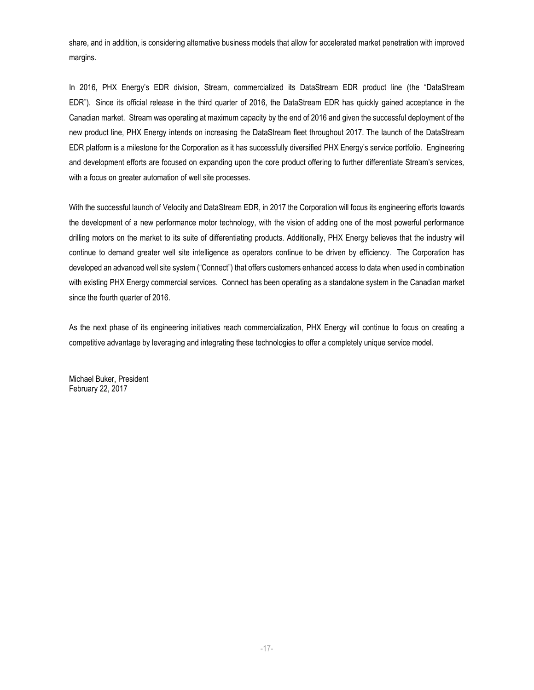share, and in addition, is considering alternative business models that allow for accelerated market penetration with improved margins.

In 2016, PHX Energy's EDR division, Stream, commercialized its DataStream EDR product line (the "DataStream EDR"). Since its official release in the third quarter of 2016, the DataStream EDR has quickly gained acceptance in the Canadian market. Stream was operating at maximum capacity by the end of 2016 and given the successful deployment of the new product line, PHX Energy intends on increasing the DataStream fleet throughout 2017. The launch of the DataStream EDR platform is a milestone for the Corporation as it has successfully diversified PHX Energy's service portfolio. Engineering and development efforts are focused on expanding upon the core product offering to further differentiate Stream's services, with a focus on greater automation of well site processes.

With the successful launch of Velocity and DataStream EDR, in 2017 the Corporation will focus its engineering efforts towards the development of a new performance motor technology, with the vision of adding one of the most powerful performance drilling motors on the market to its suite of differentiating products. Additionally, PHX Energy believes that the industry will continue to demand greater well site intelligence as operators continue to be driven by efficiency. The Corporation has developed an advanced well site system ("Connect") that offers customers enhanced access to data when used in combination with existing PHX Energy commercial services. Connect has been operating as a standalone system in the Canadian market since the fourth quarter of 2016.

As the next phase of its engineering initiatives reach commercialization, PHX Energy will continue to focus on creating a competitive advantage by leveraging and integrating these technologies to offer a completely unique service model.

Michael Buker, President February 22, 2017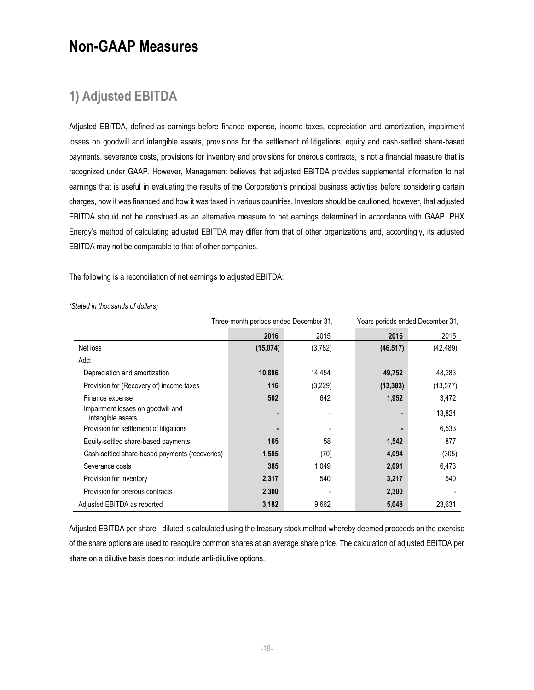## **Non-GAAP Measures**

### **1) Adjusted EBITDA**

Adjusted EBITDA, defined as earnings before finance expense, income taxes, depreciation and amortization, impairment losses on goodwill and intangible assets, provisions for the settlement of litigations, equity and cash-settled share-based payments, severance costs, provisions for inventory and provisions for onerous contracts, is not a financial measure that is recognized under GAAP. However, Management believes that adjusted EBITDA provides supplemental information to net earnings that is useful in evaluating the results of the Corporation's principal business activities before considering certain charges, how it was financed and how it was taxed in various countries. Investors should be cautioned, however, that adjusted EBITDA should not be construed as an alternative measure to net earnings determined in accordance with GAAP. PHX Energy's method of calculating adjusted EBITDA may differ from that of other organizations and, accordingly, its adjusted EBITDA may not be comparable to that of other companies.

The following is a reconciliation of net earnings to adjusted EBITDA:

|                                                        | Three-month periods ended December 31, |         | Years periods ended December 31, |           |  |
|--------------------------------------------------------|----------------------------------------|---------|----------------------------------|-----------|--|
|                                                        | 2016                                   | 2015    | 2016                             | 2015      |  |
| Net loss                                               | (15,074)                               | (3,782) | (46, 517)                        | (42, 489) |  |
| Add:                                                   |                                        |         |                                  |           |  |
| Depreciation and amortization                          | 10,886                                 | 14.454  | 49,752                           | 48,283    |  |
| Provision for (Recovery of) income taxes               | 116                                    | (3,229) | (13, 383)                        | (13, 577) |  |
| Finance expense                                        | 502                                    | 642     | 1,952                            | 3,472     |  |
| Impairment losses on goodwill and<br>intangible assets |                                        |         |                                  | 13,824    |  |
| Provision for settlement of litigations                |                                        |         |                                  | 6,533     |  |
| Equity-settled share-based payments                    | 165                                    | 58      | 1,542                            | 877       |  |
| Cash-settled share-based payments (recoveries)         | 1,585                                  | (70)    | 4,094                            | (305)     |  |
| Severance costs                                        | 385                                    | 1,049   | 2,091                            | 6,473     |  |
| Provision for inventory                                | 2,317                                  | 540     | 3,217                            | 540       |  |
| Provision for onerous contracts                        | 2,300                                  |         | 2,300                            |           |  |
| Adjusted EBITDA as reported                            | 3,182                                  | 9,662   | 5,048                            | 23,631    |  |

*(Stated in thousands of dollars)*

Adjusted EBITDA per share - diluted is calculated using the treasury stock method whereby deemed proceeds on the exercise of the share options are used to reacquire common shares at an average share price. The calculation of adjusted EBITDA per share on a dilutive basis does not include anti-dilutive options.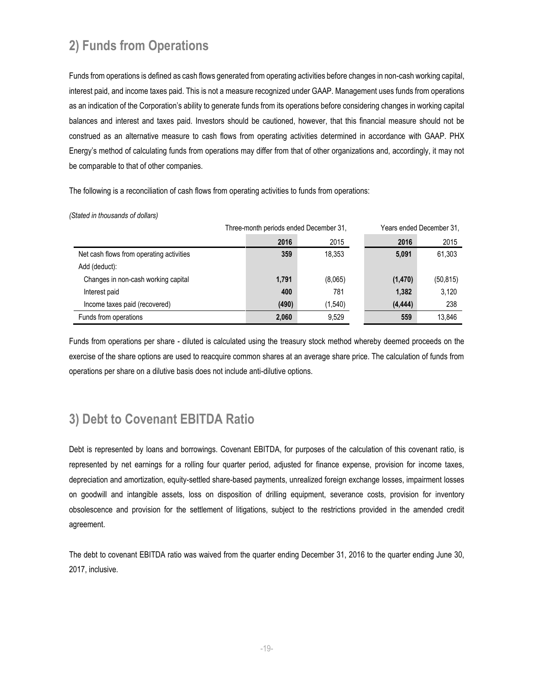## **2) Funds from Operations**

Funds from operations is defined as cash flows generated from operating activities before changes in non-cash working capital, interest paid, and income taxes paid. This is not a measure recognized under GAAP. Management uses funds from operations as an indication of the Corporation's ability to generate funds from its operations before considering changes in working capital balances and interest and taxes paid. Investors should be cautioned, however, that this financial measure should not be construed as an alternative measure to cash flows from operating activities determined in accordance with GAAP. PHX Energy's method of calculating funds from operations may differ from that of other organizations and, accordingly, it may not be comparable to that of other companies.

The following is a reconciliation of cash flows from operating activities to funds from operations:

*(Stated in thousands of dollars)*

|                                          | Three-month periods ended December 31, |         | Years ended December 31, |           |  |
|------------------------------------------|----------------------------------------|---------|--------------------------|-----------|--|
|                                          | 2016                                   | 2015    | 2016                     | 2015      |  |
| Net cash flows from operating activities | 359                                    | 18.353  | 5,091                    | 61,303    |  |
| Add (deduct):                            |                                        |         |                          |           |  |
| Changes in non-cash working capital      | 1,791                                  | (8,065) | (1, 470)                 | (50, 815) |  |
| Interest paid                            | 400                                    | 781     | 1,382                    | 3,120     |  |
| Income taxes paid (recovered)            | (490)                                  | (1,540) | (4, 444)                 | 238       |  |
| Funds from operations                    | 2,060                                  | 9.529   | 559                      | 13.846    |  |

Funds from operations per share - diluted is calculated using the treasury stock method whereby deemed proceeds on the exercise of the share options are used to reacquire common shares at an average share price. The calculation of funds from operations per share on a dilutive basis does not include anti-dilutive options.

### **3) Debt to Covenant EBITDA Ratio**

Debt is represented by loans and borrowings. Covenant EBITDA, for purposes of the calculation of this covenant ratio, is represented by net earnings for a rolling four quarter period, adjusted for finance expense, provision for income taxes, depreciation and amortization, equity-settled share-based payments, unrealized foreign exchange losses, impairment losses on goodwill and intangible assets, loss on disposition of drilling equipment, severance costs, provision for inventory obsolescence and provision for the settlement of litigations, subject to the restrictions provided in the amended credit agreement.

The debt to covenant EBITDA ratio was waived from the quarter ending December 31, 2016 to the quarter ending June 30, 2017, inclusive.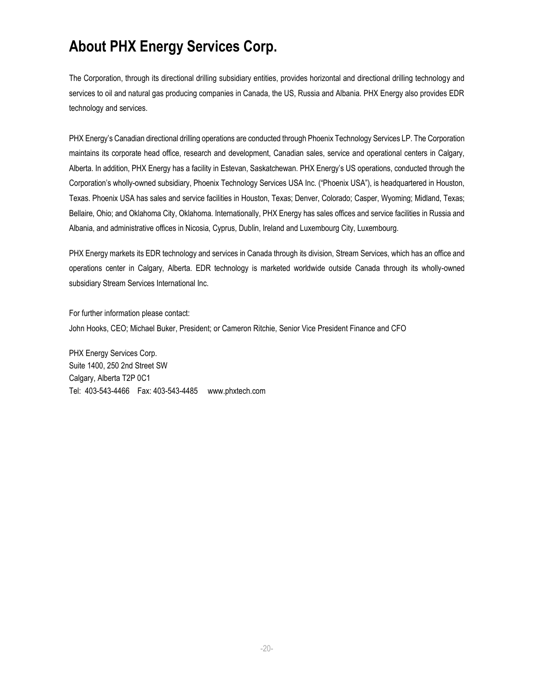## **About PHX Energy Services Corp.**

The Corporation, through its directional drilling subsidiary entities, provides horizontal and directional drilling technology and services to oil and natural gas producing companies in Canada, the US, Russia and Albania. PHX Energy also provides EDR technology and services.

PHX Energy's Canadian directional drilling operations are conducted through Phoenix Technology Services LP. The Corporation maintains its corporate head office, research and development, Canadian sales, service and operational centers in Calgary, Alberta. In addition, PHX Energy has a facility in Estevan, Saskatchewan. PHX Energy's US operations, conducted through the Corporation's wholly-owned subsidiary, Phoenix Technology Services USA Inc. ("Phoenix USA"), is headquartered in Houston, Texas. Phoenix USA has sales and service facilities in Houston, Texas; Denver, Colorado; Casper, Wyoming; Midland, Texas; Bellaire, Ohio; and Oklahoma City, Oklahoma. Internationally, PHX Energy has sales offices and service facilities in Russia and Albania, and administrative offices in Nicosia, Cyprus, Dublin, Ireland and Luxembourg City, Luxembourg.

PHX Energy markets its EDR technology and services in Canada through its division, Stream Services, which has an office and operations center in Calgary, Alberta. EDR technology is marketed worldwide outside Canada through its wholly-owned subsidiary Stream Services International Inc.

For further information please contact: John Hooks, CEO; Michael Buker, President; or Cameron Ritchie, Senior Vice President Finance and CFO

PHX Energy Services Corp. Suite 1400, 250 2nd Street SW Calgary, Alberta T2P 0C1 Tel: 403-543-4466 Fax: 403-543-4485 [www.phxtech.com](http://www.phoenixcan.com/)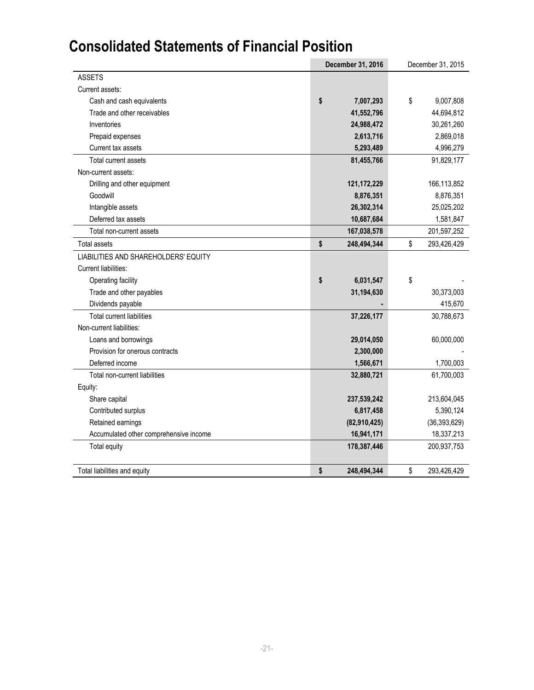## **Consolidated Statements of Financial Position**

|                                        | December 31, 2016 | December 31, 2015 |
|----------------------------------------|-------------------|-------------------|
| <b>ASSETS</b>                          |                   |                   |
| Current assets:                        |                   |                   |
| Cash and cash equivalents              | \$<br>7,007,293   | \$<br>9,007,808   |
| Trade and other receivables            | 41,552,796        | 44,694,812        |
| Inventories                            | 24,988,472        | 30,261,260        |
| Prepaid expenses                       | 2,613,716         | 2,869,018         |
| Current tax assets                     | 5,293,489         | 4,996,279         |
| Total current assets                   | 81,455,766        | 91,829,177        |
| Non-current assets:                    |                   |                   |
| Drilling and other equipment           | 121, 172, 229     | 166,113,852       |
| Goodwill                               | 8,876,351         | 8,876,351         |
| Intangible assets                      | 26,302,314        | 25,025,202        |
| Deferred tax assets                    | 10,687,684        | 1,581,847         |
| Total non-current assets               | 167,038,578       | 201,597,252       |
| <b>Total assets</b>                    | \$<br>248,494,344 | \$<br>293,426,429 |
| LIABILITIES AND SHAREHOLDERS' EQUITY   |                   |                   |
| Current liabilities:                   |                   |                   |
| Operating facility                     | \$<br>6,031,547   | \$                |
| Trade and other payables               | 31,194,630        | 30,373,003        |
| Dividends payable                      |                   | 415,670           |
| <b>Total current liabilities</b>       | 37,226,177        | 30,788,673        |
| Non-current liabilities:               |                   |                   |
| Loans and borrowings                   | 29,014,050        | 60,000,000        |
| Provision for onerous contracts        | 2,300,000         |                   |
| Deferred income                        | 1,566,671         | 1,700,003         |
| Total non-current liabilities          | 32,880,721        | 61,700,003        |
| Equity:                                |                   |                   |
| Share capital                          | 237,539,242       | 213,604,045       |
| Contributed surplus                    | 6,817,458         | 5,390,124         |
| Retained earnings                      | (82,910,425)      | (36, 393, 629)    |
| Accumulated other comprehensive income | 16,941,171        | 18,337,213        |
| Total equity                           | 178,387,446       | 200,937,753       |
| Total liabilities and equity           | \$<br>248,494,344 | \$<br>293,426,429 |
|                                        |                   |                   |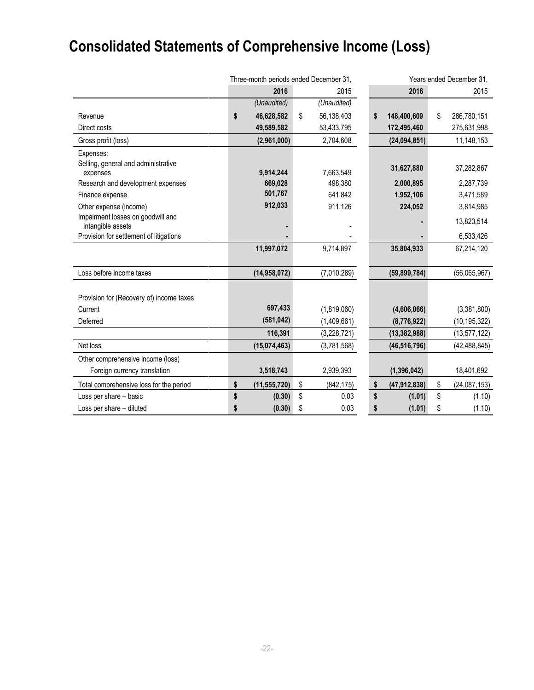# **Consolidated Statements of Comprehensive Income (Loss)**

|                                                        | Three-month periods ended December 31, |                |    | Years ended December 31, |                      |    |                |
|--------------------------------------------------------|----------------------------------------|----------------|----|--------------------------|----------------------|----|----------------|
|                                                        |                                        | 2016           |    | 2015                     | 2016                 |    | 2015           |
|                                                        |                                        | (Unaudited)    |    | (Unaudited)              |                      |    |                |
| Revenue                                                | \$                                     | 46,628,582     | \$ | 56,138,403               | \$<br>148,400,609    | \$ | 286,780,151    |
| Direct costs                                           |                                        | 49,589,582     |    | 53,433,795               | 172,495,460          |    | 275,631,998    |
| Gross profit (loss)                                    |                                        | (2,961,000)    |    | 2,704,608                | (24, 094, 851)       |    | 11,148,153     |
| Expenses:                                              |                                        |                |    |                          |                      |    |                |
| Selling, general and administrative                    |                                        |                |    |                          | 31,627,880           |    | 37,282,867     |
| expenses                                               |                                        | 9,914,244      |    | 7,663,549                |                      |    |                |
| Research and development expenses                      |                                        | 669,028        |    | 498,380                  | 2,000,895            |    | 2,287,739      |
| Finance expense                                        |                                        | 501,767        |    | 641,842                  | 1,952,106            |    | 3,471,589      |
| Other expense (income)                                 |                                        | 912,033        |    | 911,126                  | 224,052              |    | 3,814,985      |
| Impairment losses on goodwill and<br>intangible assets |                                        |                |    |                          |                      |    | 13,823,514     |
| Provision for settlement of litigations                |                                        |                |    |                          |                      |    | 6,533,426      |
|                                                        |                                        | 11,997,072     |    | 9,714,897                | 35,804,933           |    | 67,214,120     |
|                                                        |                                        |                |    |                          |                      |    |                |
| Loss before income taxes                               |                                        | (14,958,072)   |    | (7,010,289)              | (59, 899, 784)       |    | (56,065,967)   |
|                                                        |                                        |                |    |                          |                      |    |                |
| Provision for (Recovery of) income taxes               |                                        | 697,433        |    |                          |                      |    |                |
| Current                                                |                                        | (581, 042)     |    | (1,819,060)              | (4,606,066)          |    | (3,381,800)    |
| Deferred                                               |                                        |                |    | (1,409,661)              | (8,776,922)          |    | (10, 195, 322) |
|                                                        |                                        | 116,391        |    | (3,228,721)              | (13, 382, 988)       |    | (13, 577, 122) |
| Net loss                                               |                                        | (15,074,463)   |    | (3,781,568)              | (46, 516, 796)       |    | (42, 488, 845) |
| Other comprehensive income (loss)                      |                                        |                |    |                          |                      |    |                |
| Foreign currency translation                           |                                        | 3,518,743      |    | 2,939,393                | (1, 396, 042)        |    | 18,401,692     |
| Total comprehensive loss for the period                | \$                                     | (11, 555, 720) | \$ | (842, 175)               | \$<br>(47, 912, 838) | \$ | (24,087,153)   |
| Loss per share - basic                                 | \$                                     | (0.30)         | \$ | 0.03                     | \$<br>(1.01)         | \$ | (1.10)         |
| Loss per share - diluted                               | S                                      | (0.30)         | \$ | 0.03                     | \$<br>(1.01)         | \$ | (1.10)         |